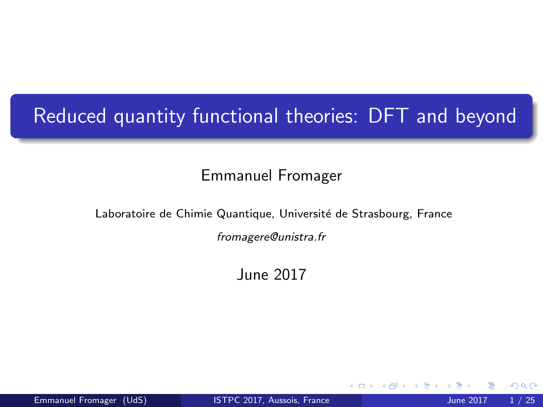# Reduced quantity functional theories: DFT and beyond

#### Emmanuel Fromager

Laboratoire de Chimie Quantique, Université de Strasbourg, France

fromagere@unistra.fr

June 2017

4 0 1

<span id="page-0-0"></span> $200$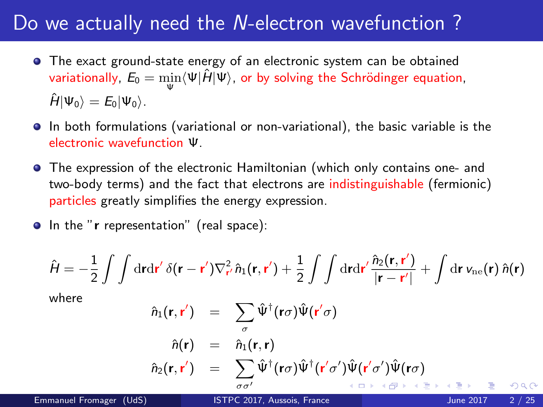#### Do we actually need the N-electron wavefunction ?

- The exact ground-state energy of an electronic system can be obtained variationally,  $E_0 = \min\limits_{\mathbf{w}}\langle \Psi|\hat{H}|\Psi\rangle$ , or by solving the Schrödinger equation, Ψ  $\hat{H}|\Psi_0\rangle = E_0|\Psi_0\rangle$ .
- In both formulations (variational or non-variational), the basic variable is the electronic wavefunction Ψ.
- The expression of the electronic Hamiltonian (which only contains one- and two-body terms) and the fact that electrons are indistinguishable (fermionic) particles greatly simplifies the energy expression.
- In the "r representation" (real space):

$$
\hat{H} = -\frac{1}{2} \int \int d\mathbf{r} d\mathbf{r}' \, \delta(\mathbf{r} - \mathbf{r}') \nabla_{\mathbf{r}'}^2 \hat{n}_1(\mathbf{r}, \mathbf{r}') + \frac{1}{2} \int \int d\mathbf{r} d\mathbf{r}' \frac{\hat{n}_2(\mathbf{r}, \mathbf{r}')}{|\mathbf{r} - \mathbf{r}'|} + \int d\mathbf{r} \, v_{\text{ne}}(\mathbf{r}) \, \hat{n}(\mathbf{r})
$$

where

<span id="page-1-0"></span>nˆ1(r,r 0 ) = X σ Ψˆ † (rσ)Ψ( ˆ r 0 σ) nˆ(r) = ˆn1(r,r) nˆ2(r,r 0 ) = X σσ0 Ψˆ † (rσ)Ψˆ † (r 0 σ 0 )Ψ( ˆ r 0 σ 0 )Ψ( ˆ rσ)

Emmanuel Fromager (UdS) [ISTPC 2017, Aussois, France](#page-0-0) June 2017 2/25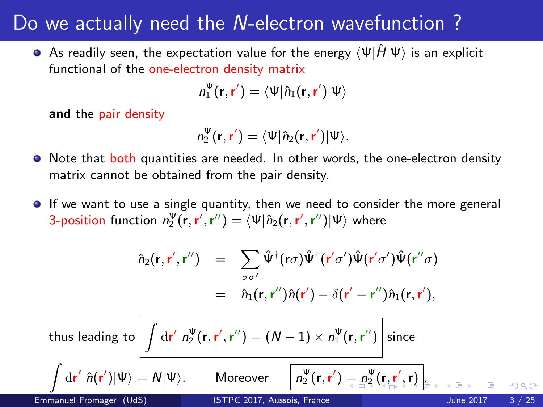#### Do we actually need the N-electron wavefunction ?

As readily seen, the expectation value for the energy  $\langle \Psi | \hat{H} | \Psi \rangle$  is an explicit functional of the one-electron density matrix

$$
n_1^{\Psi}(\mathbf{r},\mathbf{r}')=\langle \Psi | \hat{n}_1(\mathbf{r},\mathbf{r}') | \Psi \rangle
$$

and the pair density

$$
n_2^{\Psi}(\mathbf{r},\mathbf{r}')=\langle \Psi | \hat{n}_2(\mathbf{r},\mathbf{r}') | \Psi \rangle.
$$

- Note that both quantities are needed. In other words, the one-electron density matrix cannot be obtained from the pair density.
- **If** we want to use a single quantity, then we need to consider the more general 3-position function  $n_2^\Psi({\bf r},{\bf r}',{\bf r}'')=\langle\Psi|\hat{n}_2({\bf r},{\bf r}',{\bf r}'')|\Psi\rangle$  where

<span id="page-2-0"></span>
$$
\hat{n}_2(\mathbf{r},\mathbf{r}',\mathbf{r}'') = \sum_{\sigma\sigma'} \hat{\Psi}^{\dagger}(\mathbf{r}\sigma)\hat{\Psi}^{\dagger}(\mathbf{r}'\sigma')\hat{\Psi}(\mathbf{r}'\sigma')\hat{\Psi}(\mathbf{r}''\sigma) \n= \hat{n}_1(\mathbf{r},\mathbf{r}'')\hat{n}(\mathbf{r}') - \delta(\mathbf{r}'-\mathbf{r}'')\hat{n}_1(\mathbf{r},\mathbf{r}'),
$$

thus leading to  $\Big|\int\mathrm{d}\mathbf{r}'\;n^\Psi_2(\mathbf{r},\mathbf{r}',\mathbf{r}'')=(N-1)\times n^\Psi_1(\mathbf{r},\mathbf{r}'')\Big|$  since  $\int d\mathbf{r}' \hat{n}(\mathbf{r}')|\Psi\rangle = N|\Psi\rangle$ . Moreover  $\boxed{n}$  $\mathbf{y}_2^{\Psi}(\mathbf{r},\mathbf{r}') = \mathbf{n}_2^{\Psi}(\mathbf{r},\mathbf{r}',\mathbf{r})$  $\mathbf{y}_2^{\Psi}(\mathbf{r},\mathbf{r}') = \mathbf{n}_2^{\Psi}(\mathbf{r},\mathbf{r}',\mathbf{r})$  $\mathbf{y}_2^{\Psi}(\mathbf{r},\mathbf{r}') = \mathbf{n}_2^{\Psi}(\mathbf{r},\mathbf{r}',\mathbf{r})$  $\mathbf{y}_2^{\Psi}(\mathbf{r},\mathbf{r}') = \mathbf{n}_2^{\Psi}(\mathbf{r},\mathbf{r}',\mathbf{r})$  $\mathbf{y}_2^{\Psi}(\mathbf{r},\mathbf{r}') = \mathbf{n}_2^{\Psi}(\mathbf{r},\mathbf{r}',\mathbf{r})$  $\mathbf{y}_2^{\Psi}(\mathbf{r},\mathbf{r}') = \mathbf{n}_2^{\Psi}(\mathbf{r},\mathbf{r}',\mathbf{r})$  $\mathbf{y}_2^{\Psi}(\mathbf{r},\mathbf{r}') = \mathbf{n}_2^{\Psi}(\mathbf{r},\mathbf{r}',\mathbf{r})$  $\mathbf{y}_2^{\Psi}(\mathbf{r},\mathbf{r}') = \mathbf{n}_2^{\Psi}(\mathbf{r},\mathbf{r}',\mathbf{r})$  $\mathbf{y}_2^{\Psi}(\mathbf{r},\mathbf{r}') = \mathbf{n}_2^{\Psi}(\mathbf{r},\mathbf{r}',\mathbf{r})$  $\mathbf{y}_2^{\Psi}(\mathbf{r},\mathbf{r}') = \mathbf{n}_2^{\Psi}(\mathbf{r},\mathbf{r}',\mathbf{r})$ Emmanuel Fromager (UdS) [ISTPC 2017, Aussois, France](#page-0-0) June 2017 3 / 25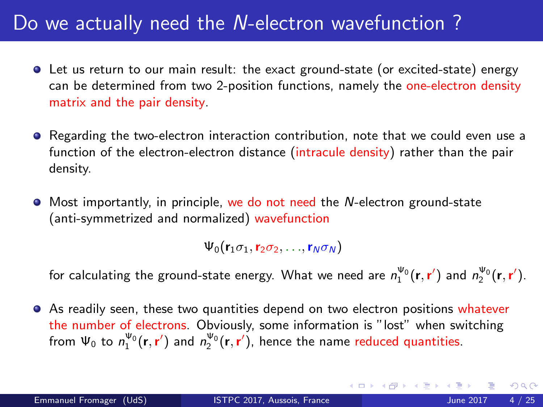## Do we actually need the N-electron wavefunction?

- Let us return to our main result: the exact ground-state (or excited-state) energy can be determined from two 2-position functions, namely the one-electron density matrix and the pair density.
- **•** Regarding the two-electron interaction contribution, note that we could even use a function of the electron-electron distance (intracule density) rather than the pair density.
- Most importantly, in principle, we do not need the N-electron ground-state (anti-symmetrized and normalized) wavefunction

 $\Psi_0(\mathbf{r}_1\sigma_1,\mathbf{r}_2\sigma_2,\ldots,\mathbf{r}_N\sigma_N)$ 

for calculating the ground-state energy. What we need are  $n_1^{\Psi_0}(\mathbf{r},\mathbf{r}')$  and  $n_2^{\Psi_0}(\mathbf{r},\mathbf{r}')$ .

As readily seen, these two quantities depend on two electron positions whatever the number of electrons. Obviously, some information is "lost" when switching from  $\Psi_0$  to  $n_1^{\Psi_0}(\mathbf{r},\mathbf{r}')$  and  $n_2^{\Psi_0}(\mathbf{r},\mathbf{r}')$ , hence the name reduced quantities.

<span id="page-3-0"></span> $200$ 

イロト イ部 トメ ヨ トメ ヨト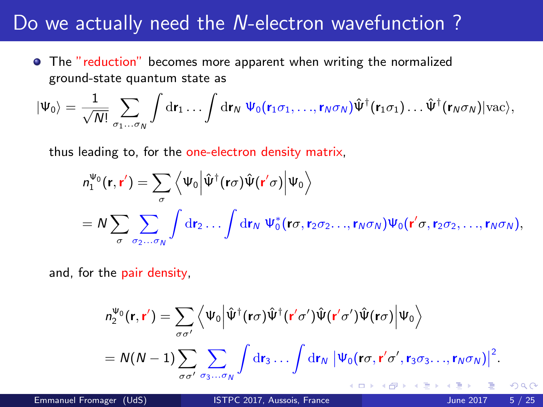#### Do we actually need the N-electron wavefunction ?

The "reduction" becomes more apparent when writing the normalized ground-state quantum state as

$$
|\Psi_0\rangle = \frac{1}{\sqrt{N!}} \sum_{\sigma_1...\sigma_N} \int \mathrm{d} \mathbf{r}_1 \ldots \int \mathrm{d} \mathbf{r}_N \; \Psi_0(\mathbf{r}_1 \sigma_1, \ldots, \mathbf{r}_N \sigma_N) \hat{\Psi}^\dagger(\mathbf{r}_1 \sigma_1) \ldots \hat{\Psi}^\dagger(\mathbf{r}_N \sigma_N) |\text{vac}\rangle,
$$

thus leading to, for the one-electron density matrix,

$$
n_1^{\Psi_0}(\mathbf{r}, \mathbf{r}') = \sum_{\sigma} \left\langle \Psi_0 \Big| \hat{\Psi}^{\dagger}(\mathbf{r}\sigma) \hat{\Psi}(\mathbf{r}'\sigma) \Big| \Psi_0 \right\rangle
$$
  
=  $N \sum_{\sigma} \sum_{\sigma_2 \dots \sigma_N} \int \mathrm{d}\mathbf{r}_2 \dots \int \mathrm{d}\mathbf{r}_N \ \Psi_0^*(\mathbf{r}\sigma, \mathbf{r}_2 \sigma_2 \dots, \mathbf{r}_N \sigma_N) \Psi_0(\mathbf{r}'\sigma, \mathbf{r}_2 \sigma_2, \dots, \mathbf{r}_N \sigma_N),$ 

and, for the pair density,

<span id="page-4-0"></span>
$$
n_2^{\Psi_0}(\mathbf{r}, \mathbf{r}') = \sum_{\sigma \sigma'} \left\langle \Psi_0 \Big| \hat{\Psi}^{\dagger}(\mathbf{r}\sigma) \hat{\Psi}^{\dagger}(\mathbf{r}'\sigma') \hat{\Psi}(\mathbf{r}'\sigma') \hat{\Psi}(\mathbf{r}\sigma) \Big| \Psi_0 \right\rangle
$$
  
=  $N(N-1) \sum_{\sigma \sigma'} \sum_{\sigma_3...\sigma_N} \int \mathrm{d}\mathbf{r}_3...\int \mathrm{d}\mathbf{r}_N \left| \Psi_0(\mathbf{r}\sigma, \mathbf{r}'\sigma', \mathbf{r}_3\sigma_3...\mathbf{r}_N\sigma_N) \right|^2$ .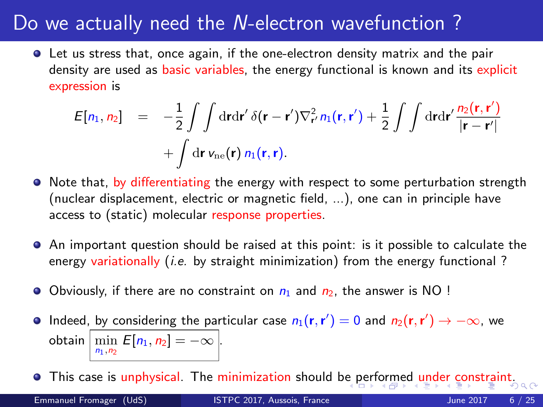## Do we actually need the N-electron wavefunction ?

Let us stress that, once again, if the one-electron density matrix and the pair density are used as basic variables, the energy functional is known and its explicit expression is

$$
E[n_1, n_2] = -\frac{1}{2} \int \int \mathrm{d} \mathbf{r} \mathrm{d} \mathbf{r}' \, \delta(\mathbf{r} - \mathbf{r}') \nabla_{\mathbf{r}'}^2 n_1(\mathbf{r}, \mathbf{r}') + \frac{1}{2} \int \int \mathrm{d} \mathbf{r} \mathrm{d} \mathbf{r}' \frac{n_2(\mathbf{r}, \mathbf{r}')}{|\mathbf{r} - \mathbf{r}'|} + \int \mathrm{d} \mathbf{r} \, v_{\text{ne}}(\mathbf{r}) \, n_1(\mathbf{r}, \mathbf{r}).
$$

- Note that, by differentiating the energy with respect to some perturbation strength (nuclear displacement, electric or magnetic field, ...), one can in principle have access to (static) molecular response properties.
- An important question should be raised at this point: is it possible to calculate the energy variationally  $(i.e.$  by straight minimization) from the energy functional?
- Obviously, if there are no constraint on  $n_1$  and  $n_2$ , the answer is NO !
- Indeed, by considering the particular case  $n_1(\mathbf{r}, \mathbf{r}') = 0$  and  $n_2(\mathbf{r}, \mathbf{r}') \rightarrow -\infty$ , we obtain  $\left|\min_{n_1,n_2} E[n_1,n_2] = -\infty\right|$ .

<span id="page-5-0"></span>• This case is unphysical. The minimization should b[e p](#page-4-0)[erf](#page-6-0)[o](#page-4-0)[rm](#page-5-0)[ed](#page-6-0) [u](#page-0-0)[nde](#page-24-0)[r c](#page-0-0)[on](#page-24-0)[str](#page-0-0)[aint](#page-24-0).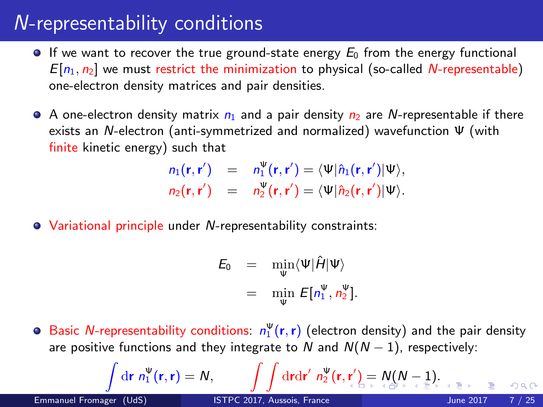## N-representability conditions

- If we want to recover the true ground-state energy  $E_0$  from the energy functional  $E[n_1, n_2]$  we must restrict the minimization to physical (so-called N-representable) one-electron density matrices and pair densities.
- $\bullet$  A one-electron density matrix  $n_1$  and a pair density  $n_2$  are N-representable if there exists an N-electron (anti-symmetrized and normalized) wavefunction Ψ (with finite kinetic energy) such that

$$
n_1(\mathbf{r}, \mathbf{r}') = n_1^{\Psi}(\mathbf{r}, \mathbf{r}') = \langle \Psi | \hat{n}_1(\mathbf{r}, \mathbf{r}') | \Psi \rangle,
$$
  
\n
$$
n_2(\mathbf{r}, \mathbf{r}') = n_2^{\Psi}(\mathbf{r}, \mathbf{r}') = \langle \Psi | \hat{n}_2(\mathbf{r}, \mathbf{r}') | \Psi \rangle.
$$

Variational principle under N-representability constraints:

$$
E_0 = \min_{\Psi} \langle \Psi | \hat{H} | \Psi \rangle
$$
  
= 
$$
\min_{\Psi} E[n_1^{\Psi}, n_2^{\Psi}].
$$

Basic N-representability conditions:  $n_1^{\Psi}(\mathbf{r},\mathbf{r})$  (electron density) and the pair density are positive functions and they integrate to N and  $N(N-1)$ , respectively:

$$
\int d\mathbf{r} \; n_1^{\Psi}(\mathbf{r}, \mathbf{r}) = N, \qquad \int \int d\mathbf{r} d\mathbf{r}' \; n_2^{\Psi}(\mathbf{r}, \mathbf{r}') = N(N-1) \quad \text{as } n \to \infty
$$

Z

<span id="page-6-0"></span>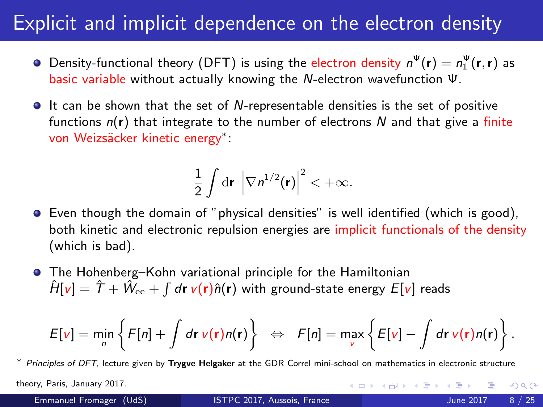### Explicit and implicit dependence on the electron density

- Density-functional theory (DFT) is using the electron density  $n^{\Psi}(\mathbf{r}) = n^{\Psi}_1(\mathbf{r},\mathbf{r})$  as basic variable without actually knowing the N-electron wavefunction Ψ.
- $\bullet$  It can be shown that the set of N-representable densities is the set of positive functions  $n(r)$  that integrate to the number of electrons N and that give a finite von Weizsäcker kinetic energy<sup>\*</sup>:

$$
\frac{1}{2}\int\mathrm{d}\mathbf{r}\,\left|\nabla n^{1/2}(\mathbf{r})\right|^2<+\infty.
$$

- Even though the domain of "physical densities" is well identified (which is good), both kinetic and electronic repulsion energies are implicit functionals of the density (which is bad).
- The Hohenberg–Kohn variational principle for the Hamiltonian  $\hat{H}[\pmb{\nu}]=\hat{T}+\hat{W}_{\rm ee}+\int d\pmb{r} \, \pmb{\nu}(\pmb{r})\hat{n}(\pmb{r})$  with ground-state energy  $E[\pmb{\nu}]$  reads

$$
E[v] = \min_{n} \left\{ F[n] + \int d\mathbf{r} \, v(\mathbf{r}) n(\mathbf{r}) \right\} \Leftrightarrow F[n] = \max_{v} \left\{ E[v] - \int d\mathbf{r} \, v(\mathbf{r}) n(\mathbf{r}) \right\}.
$$

Principles of DFT, lecture given by Trygve Helgaker at the GDR Correl mini-school on mathematics in electronic structure

theory, Paris, January 2017.

<span id="page-7-0"></span> $\Omega$ 

イロメ イ母メ イヨメ イヨ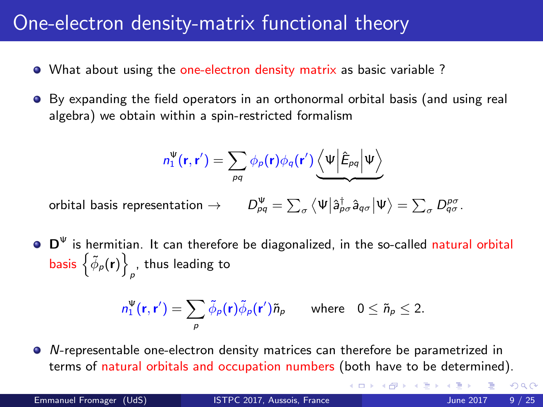## One-electron density-matrix functional theory

- What about using the one-electron density matrix as basic variable ?
- By expanding the field operators in an orthonormal orbital basis (and using real algebra) we obtain within a spin-restricted formalism

$$
n_1^{\Psi}(\mathbf{r},\mathbf{r}') = \sum_{pq} \phi_p(\mathbf{r}) \phi_q(\mathbf{r}') \underbrace{\langle \Psi | \hat{E}_{pq} | \Psi \rangle}_{}
$$

orbital basis representation  $\rightarrow$  $\int_{pq}^{\Psi} = \sum_{\sigma} \left\langle \Psi \right| \hat{a}^{\dagger}_{p \sigma} \hat{a}_{q \sigma} \left| \Psi \right\rangle = \sum_{\sigma} D^{\rho \sigma}_{q \sigma}.$ 

 $D^{\Psi}$  is hermitian. It can therefore be diagonalized, in the so-called natural orbital basis  $\left\{ \tilde{\phi}_{\rho}({\bf r})\right\}$ , thus leading to  $p$ 

$$
n_1^{\Psi}(\mathbf{r},\mathbf{r}') = \sum_{\rho} \tilde{\phi}_{\rho}(\mathbf{r}) \tilde{\phi}_{\rho}(\mathbf{r}') \tilde{n}_{\rho} \quad \text{where} \quad 0 \leq \tilde{n}_{\rho} \leq 2.
$$

N-representable one-electron density matrices can therefore be parametrized in terms of natural orbitals and occupation numbers (both have to be determined).

(□) (母)

 $QQ$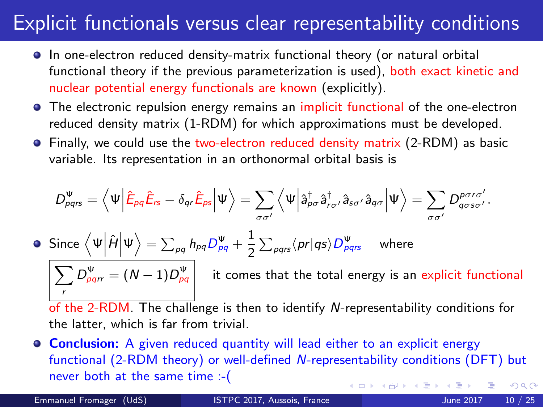## Explicit functionals versus clear representability conditions

- $\bullet$  In one-electron reduced density-matrix functional theory (or natural orbital functional theory if the previous parameterization is used), both exact kinetic and nuclear potential energy functionals are known (explicitly).
- **•** The electronic repulsion energy remains an implicit functional of the one-electron reduced density matrix (1-RDM) for which approximations must be developed.
- Finally, we could use the two-electron reduced density matrix (2-RDM) as basic variable. Its representation in an orthonormal orbital basis is

$$
D_{pqrs}^{\Psi} = \left\langle \Psi \middle| \hat{E}_{pq} \hat{E}_{rs} - \delta_{qr} \hat{E}_{ps} \middle| \Psi \right\rangle = \sum_{\sigma \sigma'} \left\langle \Psi \middle| \hat{a}_{pq}^{\dagger} \hat{a}_{r\sigma'}^{\dagger} \hat{a}_{s\sigma'} \hat{a}_{q\sigma} \middle| \Psi \right\rangle = \sum_{\sigma \sigma'} D_{q\sigma s\sigma'}^{\text{por} \sigma'}.
$$
  
\n• Since  $\left\langle \Psi \middle| \hat{H} \middle| \Psi \right\rangle = \sum_{pq} h_{pq} D_{pq}^{\Psi} + \frac{1}{2} \sum_{pqrs} \left\langle pr \middle| qs \right\rangle D_{pqrs}^{\Psi} \quad \text{where}$   
\n
$$
\sum_{r} D_{pqrr}^{\Psi} = (N-1) D_{pq}^{\Psi} \quad \text{it comes that the total energy is an explicit functional}
$$

of the 2-RDM. The challenge is then to identify N-representability conditions for the latter, which is far from trivial.

**Conclusion:** A given reduced quantity will lead either to an explicit energy functional (2-RDM theory) or well-defined N-representability conditions (DFT) but never both at the same time :-(  $QQ$ ∢ □ ▶ ⊣ *f*il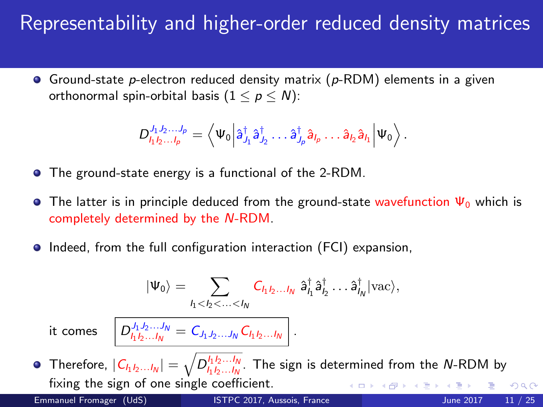# Representability and higher-order reduced density matrices

**•** Ground-state p-electron reduced density matrix ( $p$ -RDM) elements in a given orthonormal spin-orbital basis  $(1 \le p \le N)$ :

$$
D_{l_1l_2...l_p}^{j_1j_2...j_p} = \left\langle \Psi_0 \Big| \hat{a}_{j_1}^{\dagger} \hat{a}_{j_2}^{\dagger} \dots \hat{a}_{j_p}^{\dagger} \hat{a}_{l_p} \dots \hat{a}_{l_2} \hat{a}_{l_1} \Big| \Psi_0 \right\rangle.
$$

- The ground-state energy is a functional of the 2-RDM.
- **The latter is in principle deduced from the ground-state wavefunction**  $\Psi_0$  **which is** completely determined by the N-RDM.
- **Indeed, from the full configuration interaction (FCI) expansion,**

$$
|\Psi_0\rangle = \sum_{l_1 < l_2 < \ldots < l_N} C_{l_1 l_2 \ldots l_N} \hat{a}_{l_1}^{\dagger} \hat{a}_{l_2}^{\dagger} \ldots \hat{a}_{l_N}^{\dagger} |\text{vac}\rangle,
$$

it comes  $\left| D_{l_1 l_2 ... l_N}^{J_1 J_2 ... J_N} = C_{J_1 J_2 ... J_N} C_{l_1 l_2 ... l_N} \right|$ .

Therefore,  $|\mathcal{C}_{I_1I_2...I_N}|=\sqrt{D^{I_1I_2...I_N}_{I_1I_2...I_N}}.$  The sign is determined from the N-RDM by fixing the sign of one single coefficient. **← ロ ▶ → イ 同**  $QQ$ Emmanuel Fromager (UdS) [ISTPC 2017, Aussois, France](#page-0-0) June 2017 11 / 25

<span id="page-10-0"></span>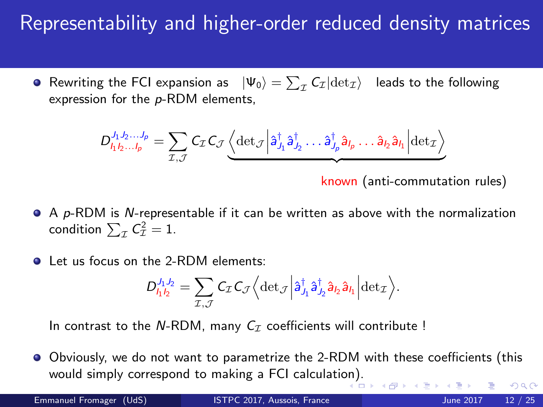# Representability and higher-order reduced density matrices

Rewriting the FCI expansion as  $|\Psi_0\rangle = \sum_{\mathcal{I}} \mathcal{C}_{\mathcal{I}} | \text{det}_{\mathcal{I}} \rangle$  leads to the following expression for the p-RDM elements,

$$
D_{h_1h_2...h_p}^{j_1,j_2...j_p} = \sum_{\mathcal{I},\mathcal{J}} C_{\mathcal{I}} C_{\mathcal{J}} \underbrace{\left\langle \det_{\mathcal{J}} \middle| \hat{a}_{J_1}^{\dagger} \hat{a}_{J_2}^{\dagger} \dots \hat{a}_{J_p}^{\dagger} \hat{a}_{J_p} \dots \hat{a}_{J_2} \hat{a}_{J_1} \middle| \det_{\mathcal{I}} \right\rangle}_{\mathcal{I}}
$$

known (anti-commutation rules)

- $\bullet$  A p-RDM is N-representable if it can be written as above with the normalization condition  $\sum_{\mathcal{I}} \mathcal{C}_{\mathcal{I}}^2 = 1$ .
- Let us focus on the 2-RDM elements:

$$
D_{I_1I_2}^{J_1J_2} = \sum_{\mathcal{I},\mathcal{J}} C_{\mathcal{I}} C_{\mathcal{J}} \Big\langle \det \mathcal{J} \Big| \hat{a}_{J_1}^{\dagger} \hat{a}_{J_2}^{\dagger} \hat{a}_{I_2} \hat{a}_{I_1} \Big| \det \mathcal{I} \Big\rangle.
$$

In contrast to the N-RDM, many  $C_{\tau}$  coefficients will contribute !

Obviously, we do not want to parametrize the 2-RDM with these coefficients (this would simply correspond to making a FCI calculati[on\)](#page-10-0).  $QQ$ 

**DB** 

Emmanuel Fromager (UdS) [ISTPC 2017, Aussois, France](#page-0-0) June 2017 12 / 25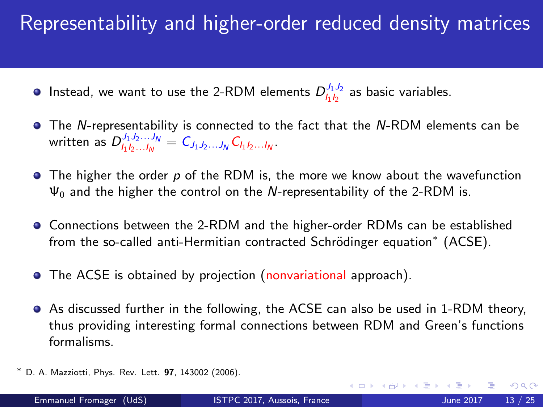# Representability and higher-order reduced density matrices

- Instead, we want to use the 2-RDM elements  $D_{l_1l_2}^{J_1J_2}$  as basic variables.
- The N-representability is connected to the fact that the N-RDM elements can be written as  $D_{l_1l_2...l_N}^{J_1J_2...J_N} = C_{J_1J_2...J_N} C_{l_1l_2...l_N}$
- $\bullet$  The higher the order p of the RDM is, the more we know about the wavefunction  $\Psi_0$  and the higher the control on the N-representability of the 2-RDM is.
- Connections between the 2-RDM and the higher-order RDMs can be established from the so-called anti-Hermitian contracted Schrödinger equation $^*$  (ACSE).
- **•** The ACSE is obtained by projection (nonvariational approach).
- As discussed further in the following, the ACSE can also be used in 1-RDM theory, thus providing interesting formal connections between RDM and Green's functions formalisms.
- D. A. Mazziotti, Phys. Rev. Lett. 97, 143002 (2006).

 $QQ$ 

イロト イ母 ト イヨ ト イヨ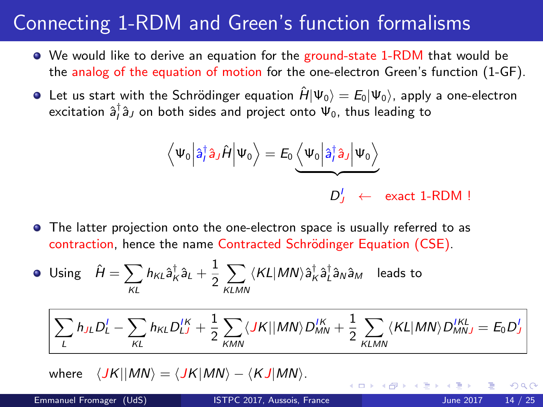- We would like to derive an equation for the ground-state 1-RDM that would be the analog of the equation of motion for the one-electron Green's function (1-GF).
- **•** Let us start with the Schrödinger equation  $\hat{H} |\Psi_0\rangle = E_0 |\Psi_0\rangle$ , apply a one-electron excitation  $\hat{a}_{I}^{\dagger}\hat{a}_{J}$  on both sides and project onto  $\Psi_{0}$ , thus leading to

$$
\left\langle \Psi_0 \Big| \hat{a}_I^{\dagger} \hat{a}_J \hat{H} \Big| \Psi_0 \right\rangle = E_0 \underbrace{\left\langle \Psi_0 \Big| \hat{a}_I^{\dagger} \hat{a}_J \Big| \Psi_0 \right\rangle}_{D_J^I} \\ \leftarrow \text{ exact 1-RDM !}
$$

The latter projection onto the one-electron space is usually referred to as contraction, hence the name Contracted Schrödinger Equation (CSE).

• Using 
$$
\hat{H} = \sum_{KL} h_{KL} \hat{a}_K^{\dagger} \hat{a}_L + \frac{1}{2} \sum_{KLMN} \langle KL | MN \rangle \hat{a}_K^{\dagger} \hat{a}_L^{\dagger} \hat{a}_N \hat{a}_M
$$
 leads to

$$
\sum_{L} h_{JL}D_{L}^{I} - \sum_{KL} h_{KL}D_{LJ}^{IK} + \frac{1}{2}\sum_{KMN} \langle JK || MN \rangle D_{MN}^{IK} + \frac{1}{2}\sum_{KLMN} \langle KL | MN \rangle D_{MNJ}^{IKL} = E_0D_J^{I}
$$

4 D F

where  $\langle JK||MN \rangle = \langle JK|MN \rangle - \langle KJ|MN \rangle$ .

つひい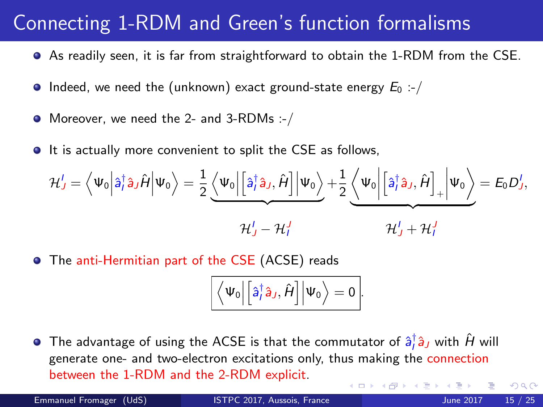- As readily seen, it is far from straightforward to obtain the 1-RDM from the CSE.
- $\bullet$  Indeed, we need the (unknown) exact ground-state energy  $E_0$  :-/
- Moreover, we need the 2- and 3-RDMs :-/
- **It is actually more convenient to split the CSE as follows,**

$$
\mathcal{H}'_J = \left\langle \Psi_0 \Big| \hat{a}_I^{\dagger} \hat{a}_J \hat{H} \Big| \Psi_0 \right\rangle = \frac{1}{2} \underbrace{\left\langle \Psi_0 \Big| \Big[ \hat{a}_I^{\dagger} \hat{a}_J, \hat{H} \Big] \Big| \Psi_0 \right\rangle}_{\mathcal{H}'_J - \mathcal{H}'_I} + \frac{1}{2} \underbrace{\left\langle \Psi_0 \Big| \Big[ \hat{a}_I^{\dagger} \hat{a}_J, \hat{H} \Big]_+ \Big| \Psi_0 \right\rangle}_{\mathcal{H}'_J + \mathcal{H}'_I} = E_0 D_J^I,
$$

The anti-Hermitian part of the CSE (ACSE) reads

$$
\Big\langle \Psi_0 \Big| \Big[ \hat{a}^\dagger_I \hat{a}_J , \hat{H} \Big] \Big| \Psi_0 \Big\rangle = 0 \, \Big|.
$$

The advantage of using the ACSE is that the commutator of  $\hat{\mathsf{a}}_{l}^{\dagger} \hat{\mathsf{a}}_{J}$  with  $\hat{H}$  will generate one- and two-electron excitations only, thus making the connection between the 1-RDM and the 2-RDM explicit. 4 0 3 4

Emmanuel Fromager (UdS) [ISTPC 2017, Aussois, France](#page-0-0) June 2017 15 / 25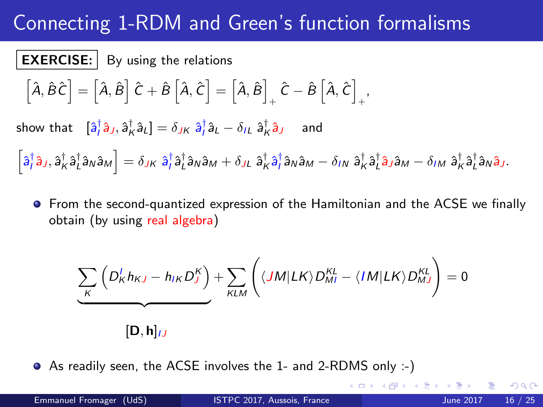**EXERCISE:** By using the relations  
\n
$$
\left[\hat{A}, \hat{B}\hat{C}\right] = \left[\hat{A}, \hat{B}\right]\hat{C} + \hat{B}\left[\hat{A}, \hat{C}\right] = \left[\hat{A}, \hat{B}\right]_{+} \hat{C} - \hat{B}\left[\hat{A}, \hat{C}\right]_{+},
$$
\nshow that  $\left[\hat{a}^{\dagger}_{i}\hat{a}_{J}, \hat{a}^{\dagger}_{K}\hat{a}_{L}\right] = \delta_{JK} \hat{a}^{\dagger}_{i}\hat{a}_{L} - \delta_{IL} \hat{a}^{\dagger}_{K}\hat{a}_{J}$  and

 $\left[\hat{a}_{J}^{\dagger}\hat{a}_{J},\hat{a}_{K}^{\dagger}\hat{a}_{L}^{\dagger}\hat{a}_{N}\hat{a}_{M}\right]=\delta_{JK}\;\hat{a}_{J}^{\dagger}\hat{a}_{M}^{\dagger}\hat{a}_{M}+\delta_{J L}\;\hat{a}_{K}^{\dagger}\hat{a}_{J}^{\dagger}\hat{a}_{N}\hat{a}_{M}-\delta_{I N}\;\hat{a}_{K}^{\dagger}\hat{a}_{L}^{\dagger}\hat{a}_{M}\hat{a}_{M}-\delta_{I M}\;\hat{a}_{K}^{\dagger}\hat{a}_{L}^{\dagger}\hat{a}_{N}\hat{a}_{J}.$ 

**•** From the second-quantized expression of the Hamiltonian and the ACSE we finally obtain (by using real algebra)

$$
\underbrace{\sum_{K} \left( D_{K}^{I} h_{KJ} - h_{IK} D_{J}^{K} \right)}_{\text{KLM}} + \sum_{KLM} \left( \langle JM | LK \rangle D_{MI}^{KL} - \langle IM | LK \rangle D_{MJ}^{KL} \right) = 0
$$
\n
$$
[\mathbf{D}, \mathbf{h}]_{IJ}
$$

As readily seen, the ACSE involves the 1- and 2-RDMS only :-)

∢ □ ▶ ⊣ *f*il

 $200$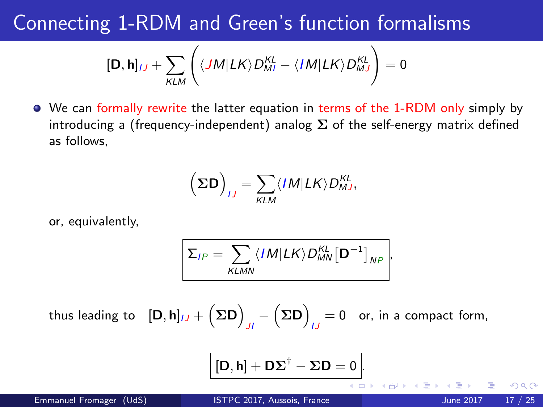$$
[\mathbf{D},\mathbf{h}]_{IJ} + \sum_{KLM} \left( \langle JM|LK \rangle D_{MI}^{KL} - \langle IM|LK \rangle D_{MJ}^{KL} \right) = 0
$$

We can formally rewrite the latter equation in terms of the 1-RDM only simply by introducing a (frequency-independent) analog  $\Sigma$  of the self-energy matrix defined as follows,

$$
\left(\boldsymbol{\Sigma}\mathbf{D}\right)_{IJ}=\sum_{KLM}\langle IM|LK\rangle D_{MJ}^{KL},
$$

or, equivalently,

$$
\sum_{I,P} = \sum_{KLMN} \langle I M | LK \rangle D_{MN}^{KL} [\mathbf{D}^{-1}]_{NP},
$$

thus leading to  $\ [ \mathsf{D},\mathsf{h}]_{IJ}+\big(\mathbf{\Sigma}\mathsf{D}\big)$  $J_I - (\Sigma \mathsf{D})$  $I_J = 0$  or, in a compact form,

$$
[\mathbf{D},\mathbf{h}]+\mathbf{D}\boldsymbol{\Sigma}^{\dagger}-\boldsymbol{\Sigma}\mathbf{D}=0
$$

Emmanuel Fromager (UdS) [ISTPC 2017, Aussois, France](#page-0-0) June 2017 17 / 25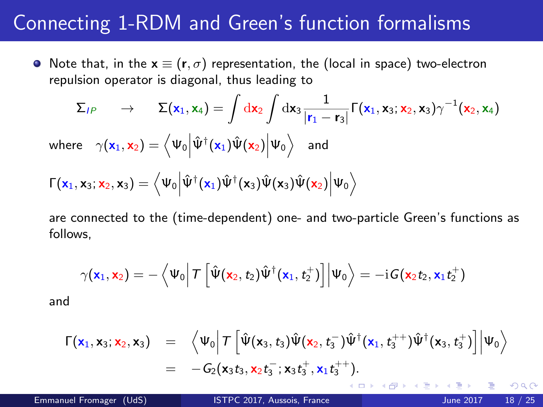• Note that, in the  $x \equiv (r, \sigma)$  representation, the (local in space) two-electron repulsion operator is diagonal, thus leading to

$$
\Sigma_{IP} \rightarrow \Sigma(\mathbf{x}_1, \mathbf{x}_4) = \int d\mathbf{x}_2 \int d\mathbf{x}_3 \frac{1}{|\mathbf{r}_1 - \mathbf{r}_3|} \Gamma(\mathbf{x}_1, \mathbf{x}_3; \mathbf{x}_2, \mathbf{x}_3) \gamma^{-1}(\mathbf{x}_2, \mathbf{x}_4)
$$
\nwhere  $\gamma(\mathbf{x}_1, \mathbf{x}_2) = \langle \Psi_0 | \hat{\Psi}^{\dagger}(\mathbf{x}_1) \hat{\Psi}(\mathbf{x}_2) | \Psi_0 \rangle$  and\n
$$
\Gamma(\mathbf{x}_1, \mathbf{x}_3; \mathbf{x}_2, \mathbf{x}_3) = \langle \Psi_0 | \hat{\Psi}^{\dagger}(\mathbf{x}_1) \hat{\Psi}^{\dagger}(\mathbf{x}_3) \hat{\Psi}(\mathbf{x}_3) \hat{\Psi}(\mathbf{x}_2) | \Psi_0 \rangle
$$

are connected to the (time-dependent) one- and two-particle Green's functions as follows,

$$
\gamma(\textbf{x}_1,\textbf{x}_2)=-\left\langle \Psi_0\right|T\left[\hat{\Psi}(\textbf{x}_2,t_2)\hat{\Psi}^{\dagger}(\textbf{x}_1,t_2^+)\right]\middle|\Psi_0\right\rangle=-i\textbf{G}(\textbf{x}_2t_2,\textbf{x}_1t_2^+)
$$

and

$$
\begin{array}{lll} \Gamma(\mathbf{x}_1,\mathbf{x}_3;\mathbf{x}_2,\mathbf{x}_3) &=& \left\langle \Psi_0 \right| \mathcal{T} \left[ \hat{\Psi}(\mathbf{x}_3,t_3) \hat{\Psi}(\mathbf{x}_2,t_3^-) \hat{\Psi}^\dagger(\mathbf{x}_1,t_3^{++}) \hat{\Psi}^\dagger(\mathbf{x}_3,t_3^+) \right] \middle| \Psi_0 \right\rangle \\ &=& -G_2(\mathbf{x}_3t_3,\mathbf{x}_2t_3^-;\mathbf{x}_3t_3^+,\mathbf{x}_1t_3^{++}). \end{array}
$$

4 0 8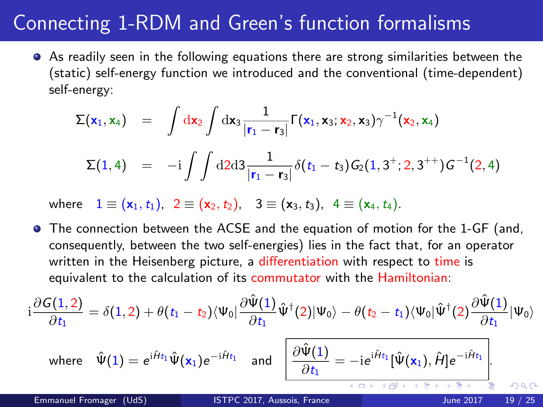As readily seen in the following equations there are strong similarities between the (static) self-energy function we introduced and the conventional (time-dependent) self-energy:

$$
\Sigma(\mathbf{x}_1, \mathbf{x}_4) = \int d\mathbf{x}_2 \int d\mathbf{x}_3 \frac{1}{|\mathbf{r}_1 - \mathbf{r}_3|} \Gamma(\mathbf{x}_1, \mathbf{x}_3; \mathbf{x}_2, \mathbf{x}_3) \gamma^{-1}(\mathbf{x}_2, \mathbf{x}_4)
$$
  

$$
\Sigma(1, 4) = -i \int \int d2 d3 \frac{1}{|\mathbf{r}_1 - \mathbf{r}_3|} \delta(t_1 - t_3) G_2(1, 3^+; 2, 3^{++}) G^{-1}(2, 4)
$$

where  $1 \equiv (x_1, t_1), 2 \equiv (x_2, t_2), 3 \equiv (x_3, t_3), 4 \equiv (x_4, t_4).$ 

**•** The connection between the ACSE and the equation of motion for the 1-GF (and, consequently, between the two self-energies) lies in the fact that, for an operator written in the Heisenberg picture, a differentiation with respect to time is equivalent to the calculation of its commutator with the Hamiltonian:

$$
i\frac{\partial G(1,2)}{\partial t_1}=\delta(1,2)+\theta(t_1-t_2)\langle\Psi_0|\frac{\partial \hat{\Psi}(1)}{\partial t_1}\hat{\Psi}^{\dagger}(2)|\Psi_0\rangle-\theta(t_2-t_1)\langle\Psi_0|\hat{\Psi}^{\dagger}(2)\frac{\partial \hat{\Psi}(1)}{\partial t_1}|\Psi_0\rangle
$$

$$
\text{where}\quad \hat{\Psi}(1)=e^{\mathrm{i}\hat{H}t_1}\hat{\Psi}(\mathbf{x}_1)e^{-\mathrm{i}\hat{H}t_1}\quad\text{and}\quad\boxed{\frac{\partial \hat{\Psi}(1)}{\partial t_1}=-\mathrm{i}e^{\mathrm{i}\hat{H}t_1}[\hat{\Psi}(\mathbf{x}_1),\hat{H}]e^{-\mathrm{i}\hat{H}t_1}}{\frac{\partial \hat{\Psi}(1)}{\partial t_1}+\frac{\partial \hat{\Psi}(\mathbf{x}_1)}{\partial t_1}+\frac{\partial \hat{\Psi}(\mathbf{x}_1)}{\partial t_1}+\frac{\partial \hat{\Psi}(\mathbf{x}_1)}{\partial t_1}}\frac{1}{\hat{\Psi}(\mathbf{x}_1)}\quad\text{and}\quad\boxed{\frac{\partial \hat{\Psi}(1)}{\partial t_1}=-\mathrm{i}e^{\mathrm{i}\hat{H}t_1}[\hat{\Psi}(\mathbf{x}_1),\hat{H}]e^{-\mathrm{i}\hat{H}t_1}}.
$$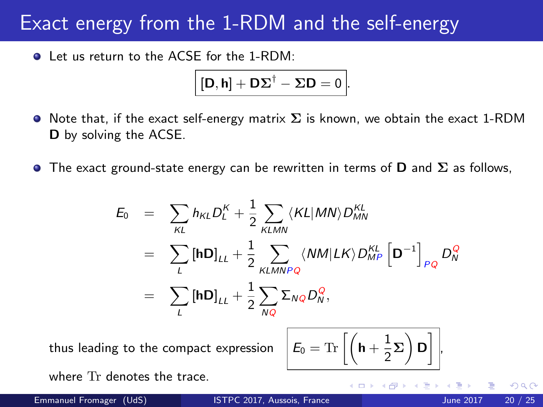## Exact energy from the 1-RDM and the self-energy

**Q** Let us return to the ACSE for the 1-RDM:

$$
[\mathbf{D},\mathbf{h}]+\mathbf{D}\boldsymbol{\Sigma}^{\dagger}-\boldsymbol{\Sigma}\mathbf{D}=0\,\Big|.
$$

- $\bullet$  Note that, if the exact self-energy matrix  $\Sigma$  is known, we obtain the exact 1-RDM D by solving the ACSE.
- **The exact ground-state energy can be rewritten in terms of D and**  $\Sigma$  **as follows,**

$$
E_0 = \sum_{KL} h_{KL} D_L^K + \frac{1}{2} \sum_{KLMN} \langle KL | MN \rangle D_{MN}^{KL}
$$
  
\n
$$
= \sum_{L} [\mathbf{h} \mathbf{D}]_{LL} + \frac{1}{2} \sum_{KLMNPQ} \langle NM | LK \rangle D_{MP}^{KL} [\mathbf{D}^{-1}]_{PQ} D_N^Q
$$
  
\n
$$
= \sum_{L} [\mathbf{h} \mathbf{D}]_{LL} + \frac{1}{2} \sum_{NQ} \Sigma_{NQ} D_N^Q,
$$

thus leading to the compact expression

$$
\mathcal{E}_0 = \mathrm{Tr}\left[ \left( \mathbf{h} + \frac{1}{2} \boldsymbol{\Sigma} \right) \mathbf{D} \right],
$$

where Tr denotes the trace.

Emmanuel Fromager (UdS) [ISTPC 2017, Aussois, France](#page-0-0) June 2017 20 / 25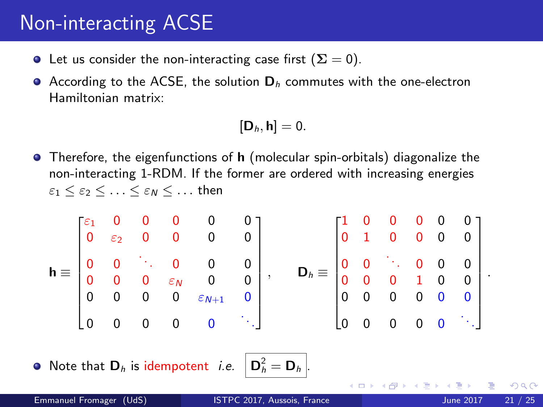## Non-interacting ACSE

- **•** Let us consider the non-interacting case first  $(\Sigma = 0)$ .
- According to the ACSE, the solution  $D_h$  commutes with the one-electron Hamiltonian matrix:

$$
[\boldsymbol{D}_h,\boldsymbol{h}]=0.
$$

**•** Therefore, the eigenfunctions of  $h$  (molecular spin-orbitals) diagonalize the non-interacting 1-RDM. If the former are ordered with increasing energies  $\varepsilon_1 < \varepsilon_2 < \ldots < \varepsilon_N < \ldots$  then

$$
\mathbf{h} = \begin{bmatrix} \varepsilon_1 & 0 & 0 & 0 & 0 & 0 \\ 0 & \varepsilon_2 & 0 & 0 & 0 & 0 \\ 0 & 0 & \ddots & 0 & 0 & 0 \\ 0 & 0 & 0 & \varepsilon_N & 0 & 0 \\ 0 & 0 & 0 & 0 & \varepsilon_{N+1} & 0 \\ 0 & 0 & 0 & 0 & 0 & \ddots \end{bmatrix}, \qquad \mathbf{D}_h = \begin{bmatrix} 1 & 0 & 0 & 0 & 0 & 0 \\ 0 & 1 & 0 & 0 & 0 & 0 \\ 0 & 0 & \ddots & 0 & 0 & 0 \\ 0 & 0 & 0 & 1 & 0 & 0 \\ 0 & 0 & 0 & 0 & 0 & 0 \\ 0 & 0 & 0 & 0 & 0 & \ddots \end{bmatrix}
$$

 $\bullet$  Note that  $\mathbf{D}_h$  is idempotent *i.e.* 

$$
\mathbf{D}_h^2 = \mathbf{D}_h
$$

4 0 8

 $\Omega$ 

.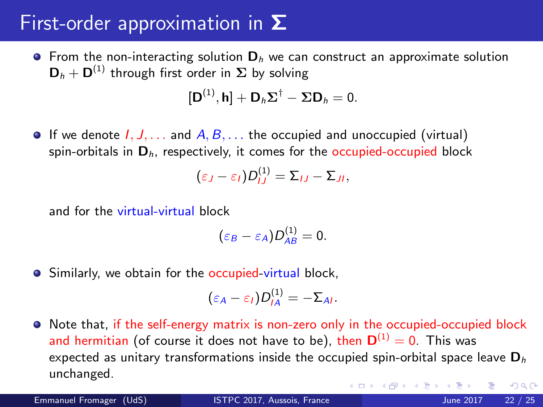## First-order approximation in  $\Sigma$

**•** From the non-interacting solution  $D_h$  we can construct an approximate solution  $\mathbf{D}_h + \mathbf{D}^{(1)}$  through first order in  $\boldsymbol{\Sigma}$  by solving

$$
[\mathbf{D}^{(1)}, \mathbf{h}] + \mathbf{D}_h \boldsymbol{\Sigma}^{\dagger} - \boldsymbol{\Sigma} \mathbf{D}_h = 0.
$$

**If** we denote  $I, J, \ldots$  and  $A, B, \ldots$  the occupied and unoccupied (virtual) spin-orbitals in  $D<sub>h</sub>$ , respectively, it comes for the occupied-occupied block

$$
(\varepsilon_J-\varepsilon_I)D_{IJ}^{(1)}=\Sigma_{IJ}-\Sigma_{JI},
$$

and for the virtual-virtual block

$$
(\varepsilon_B-\varepsilon_A)D_{AB}^{(1)}=0.
$$

• Similarly, we obtain for the occupied-virtual block,

$$
(\varepsilon_A-\varepsilon_I)D_{IA}^{(1)}=-\Sigma_{AI}.
$$

• Note that, if the self-energy matrix is non-zero only in the occupied-occupied block and hermitian (of course it does not have to be), then  $\mathbf{D}^{(1)}=0.$  This was expected as unitary transformations inside the occupied spin-orbital space leave  $D<sub>h</sub>$ unchanged. (□ ) (f)  $\Omega$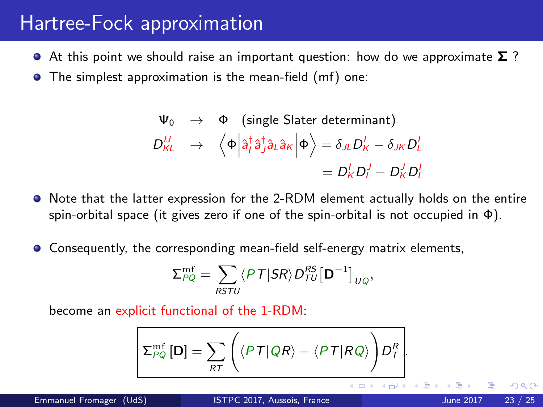#### Hartree-Fock approximation

- At this point we should raise an important question: how do we approximate  $\Sigma$ ?
- **•** The simplest approximation is the mean-field (mf) one:

$$
\Psi_0 \rightarrow \Phi \text{ (single Slater determinant)}
$$
\n
$$
D_{KL}^U \rightarrow \left\langle \Phi \middle| \hat{a}_I^{\dagger} \hat{a}_J^{\dagger} \hat{a}_L \hat{a}_K \middle| \Phi \right\rangle = \delta_{JL} D_K^I - \delta_{JK} D_L^I
$$
\n
$$
= D_K^I D_L^I - D_K^I D_L^I
$$

- $\bullet$  Note that the latter expression for the 2-RDM element actually holds on the entire spin-orbital space (it gives zero if one of the spin-orbital is not occupied in  $\Phi$ ).
- Consequently, the corresponding mean-field self-energy matrix elements,

$$
\Sigma_{PQ}^{\text{mf}} = \sum_{RSTU} \langle PT|SR \rangle D_{TU}^{RS} [\mathbf{D}^{-1}]_{UQ},
$$

become an explicit functional of the 1-RDM:

$$
\Sigma_{PQ}^{\rm mf}[D] = \sum_{RT} \left( \langle PT | QR \rangle - \langle PT | RQ \rangle \right) D_T^R.
$$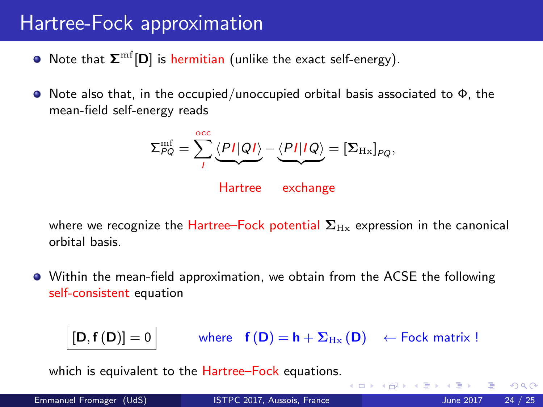## Hartree-Fock approximation

- Note that  $\boldsymbol{\Sigma}^{\text{mf}}[\textbf{D}]$  is hermitian (unlike the exact self-energy).
- $\bullet$  Note also that, in the occupied/unoccupied orbital basis associated to  $\Phi$ , the mean-field self-energy reads

$$
\Sigma_{PQ}^{\rm mf} = \sum_{I}^{\rm occ} \underbrace{\langle PI|QI\rangle}_{\rm L} - \underbrace{\langle PI|IQ\rangle}_{\rm L} = [\Sigma_{\rm Hx}]_{PQ},
$$

Hartree exchange

where we recognize the Hartree–Fock potential  $\Sigma_{\rm Hx}$  expression in the canonical orbital basis.

Within the mean-field approximation, we obtain from the ACSE the following self-consistent equation

 $[D, f(D)] = 0$  where  $f(D) = h + \Sigma_{Hx}(D)$   $\leftarrow$  Fock matrix !

4 D F

which is equivalent to the Hartree–Fock equations.

Emmanuel Fromager (UdS) [ISTPC 2017, Aussois, France](#page-0-0) June 2017 24 / 25